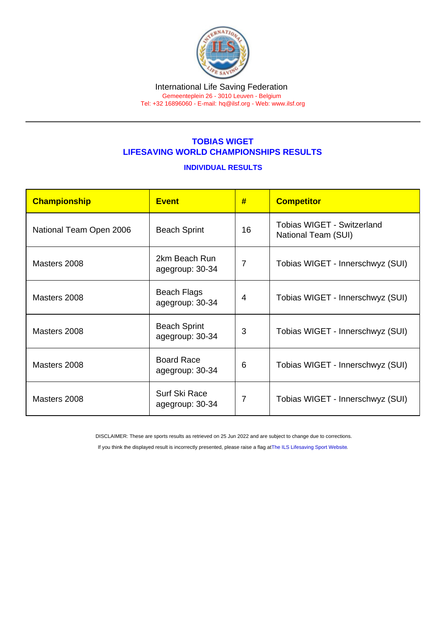#### International Life Saving Federation Gemeenteplein 26 - 3010 Leuven - Belgium Tel: +32 16896060 - E-mail: [hq@ilsf.org](mailto:hq@ilsf.org) - Web: [www.ilsf.org](https://www.ilsf.org)

## TOBIAS WIGET LIFESAVING WORLD CHAMPIONSHIPS RESULTS

#### INDIVIDUAL RESULTS

| Championship            | <b>Event</b>                           | #              | <b>Competitor</b>                                        |
|-------------------------|----------------------------------------|----------------|----------------------------------------------------------|
| National Team Open 2006 | <b>Beach Sprint</b>                    | 16             | <b>Tobias WIGET - Switzerland</b><br>National Team (SUI) |
| Masters 2008            | 2km Beach Run<br>agegroup: 30-34       | $\overline{7}$ | Tobias WIGET - Innerschwyz (SUI)                         |
| Masters 2008            | <b>Beach Flags</b><br>agegroup: 30-34  | 4              | Tobias WIGET - Innerschwyz (SUI)                         |
| Masters 2008            | <b>Beach Sprint</b><br>agegroup: 30-34 | 3              | Tobias WIGET - Innerschwyz (SUI)                         |
| Masters 2008            | <b>Board Race</b><br>agegroup: 30-34   | 6              | Tobias WIGET - Innerschwyz (SUI)                         |
| Masters 2008            | Surf Ski Race<br>agegroup: 30-34       | 7              | Tobias WIGET - Innerschwyz (SUI)                         |

DISCLAIMER: These are sports results as retrieved on 25 Jun 2022 and are subject to change due to corrections.

If you think the displayed result is incorrectly presented, please raise a flag at [The ILS Lifesaving Sport Website.](https://sport.ilsf.org)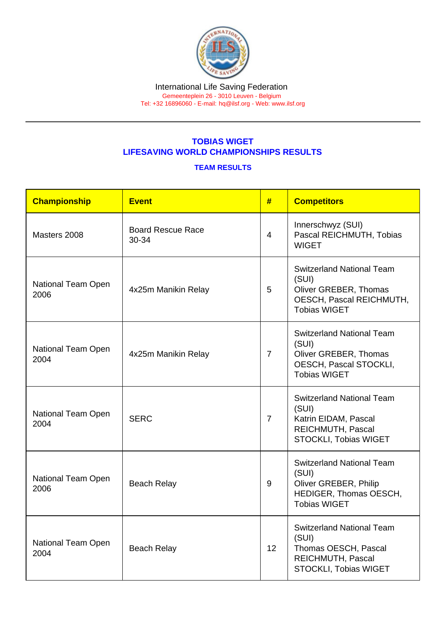# TOBIAS WIGET LIFESAVING WORLD CHAMPIONSHIPS RESULTS

### TEAM RESULTS

| Championship               | <b>Event</b>                      | #              | <b>Competitors</b>                                                                                                    |
|----------------------------|-----------------------------------|----------------|-----------------------------------------------------------------------------------------------------------------------|
| Masters 2008               | <b>Board Rescue Race</b><br>30-34 | $\overline{4}$ | Innerschwyz (SUI)<br>Pascal REICHMUTH, Tobias<br><b>WIGET</b>                                                         |
| National Team Open<br>2006 | 4x25m Manikin Relay               | 5              | <b>Switzerland National Team</b><br>(SUI)<br>Oliver GREBER, Thomas<br>OESCH, Pascal REICHMUTH,<br><b>Tobias WIGET</b> |
| National Team Open<br>2004 | 4x25m Manikin Relay               | $\overline{7}$ | <b>Switzerland National Team</b><br>(SUI)<br>Oliver GREBER, Thomas<br>OESCH, Pascal STOCKLI,<br><b>Tobias WIGET</b>   |
| National Team Open<br>2004 | <b>SERC</b>                       | $\overline{7}$ | <b>Switzerland National Team</b><br>(SUI)<br>Katrin EIDAM, Pascal<br>REICHMUTH, Pascal<br>STOCKLI, Tobias WIGET       |
| National Team Open<br>2006 | <b>Beach Relay</b>                | 9              | <b>Switzerland National Team</b><br>(SUI)<br>Oliver GREBER, Philip<br>HEDIGER, Thomas OESCH,<br><b>Tobias WIGET</b>   |
| National Team Open<br>2004 | <b>Beach Relay</b>                | 12             | <b>Switzerland National Team</b><br>(SUI)<br>Thomas OESCH, Pascal<br>REICHMUTH, Pascal<br>STOCKLI, Tobias WIGET       |